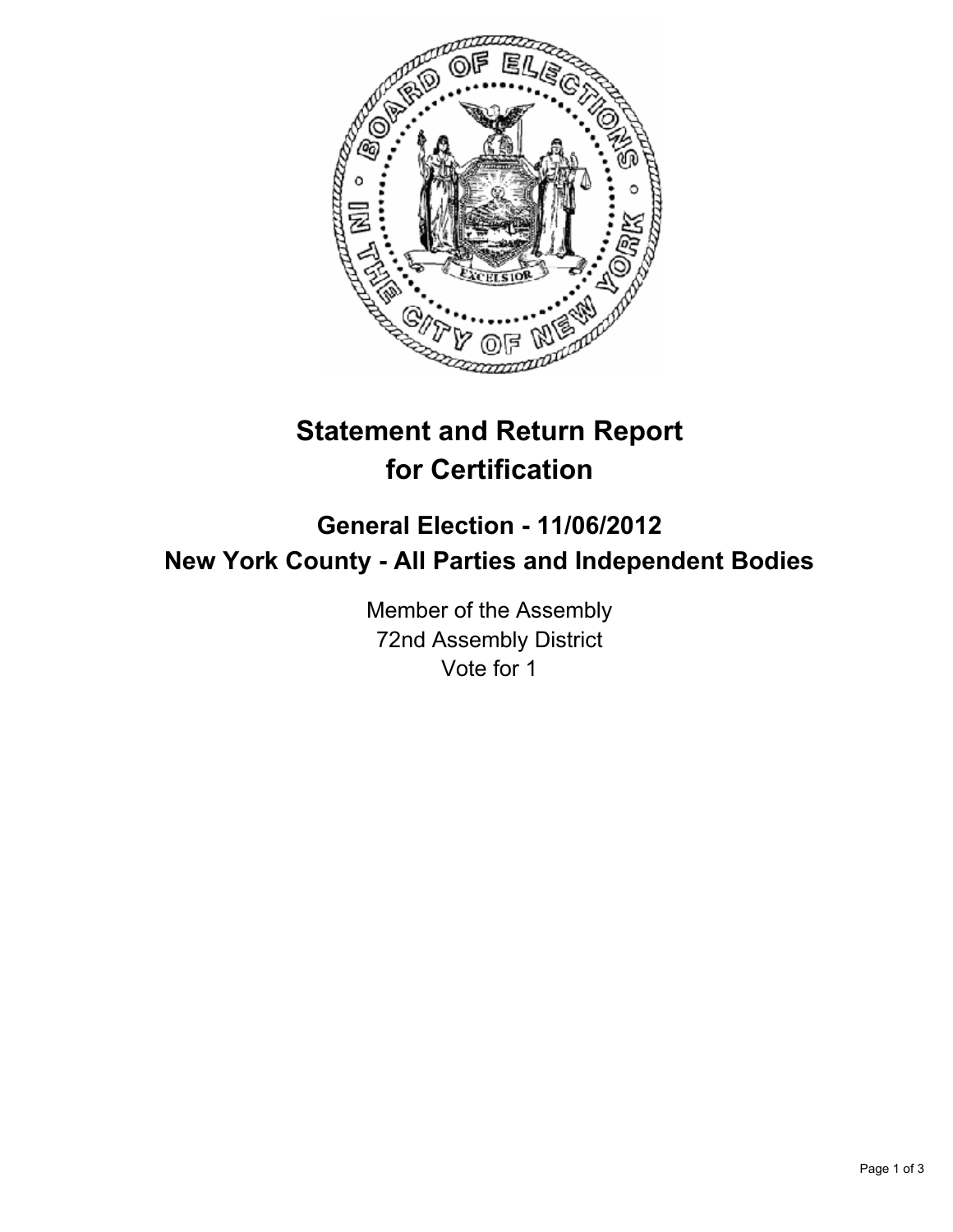

## **Statement and Return Report for Certification**

## **General Election - 11/06/2012 New York County - All Parties and Independent Bodies**

Member of the Assembly 72nd Assembly District Vote for 1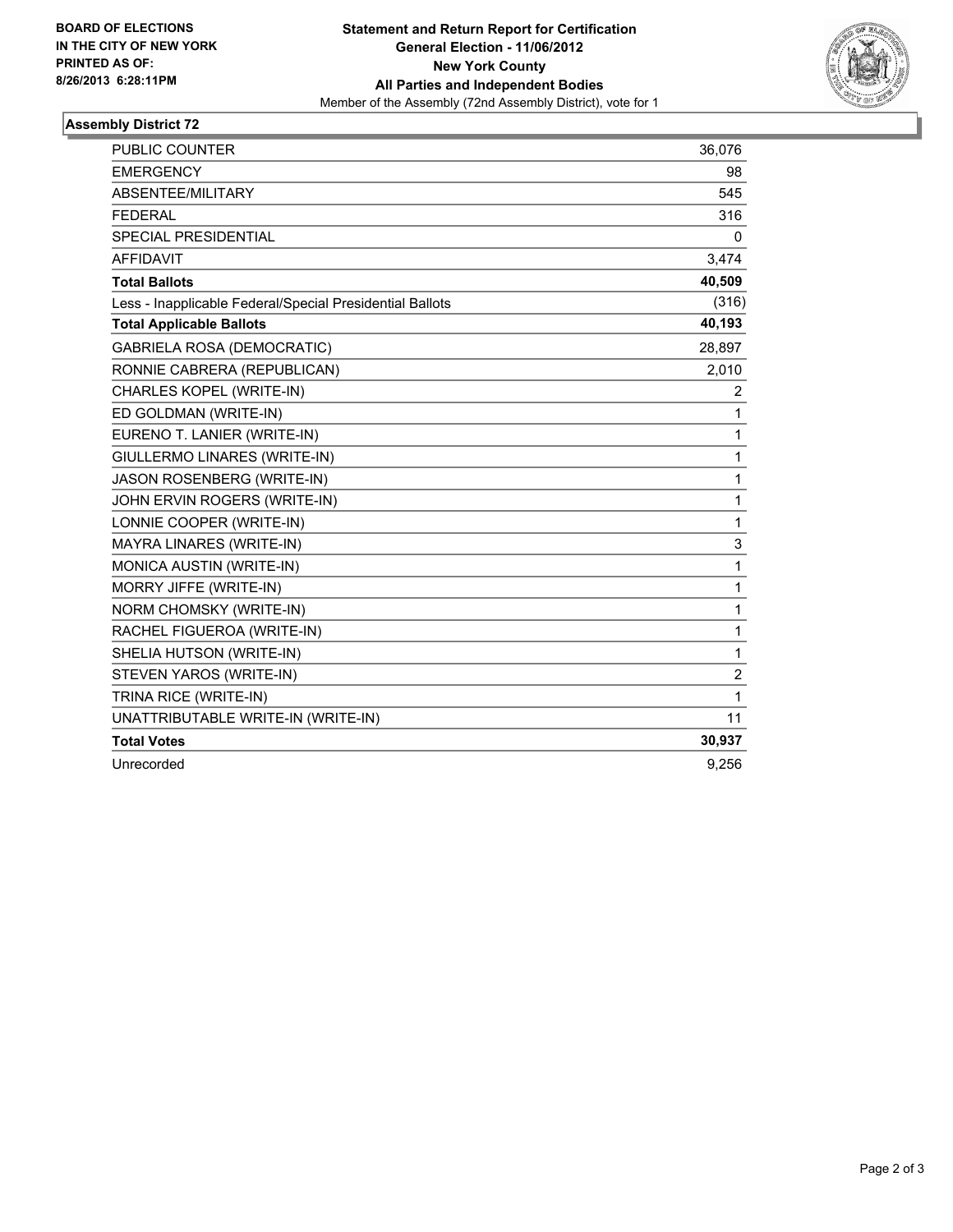

## **Assembly District 72**

| <b>PUBLIC COUNTER</b>                                    | 36,076       |
|----------------------------------------------------------|--------------|
| <b>EMERGENCY</b>                                         | 98           |
| ABSENTEE/MILITARY                                        | 545          |
| <b>FEDERAL</b>                                           | 316          |
| SPECIAL PRESIDENTIAL                                     | 0            |
| <b>AFFIDAVIT</b>                                         | 3,474        |
| <b>Total Ballots</b>                                     | 40,509       |
| Less - Inapplicable Federal/Special Presidential Ballots | (316)        |
| <b>Total Applicable Ballots</b>                          | 40,193       |
| GABRIELA ROSA (DEMOCRATIC)                               | 28,897       |
| RONNIE CABRERA (REPUBLICAN)                              | 2,010        |
| <b>CHARLES KOPEL (WRITE-IN)</b>                          | 2            |
| ED GOLDMAN (WRITE-IN)                                    | 1            |
| EURENO T. LANIER (WRITE-IN)                              | 1            |
| GIULLERMO LINARES (WRITE-IN)                             | $\mathbf{1}$ |
| JASON ROSENBERG (WRITE-IN)                               | $\mathbf 1$  |
| JOHN ERVIN ROGERS (WRITE-IN)                             | 1            |
| LONNIE COOPER (WRITE-IN)                                 | 1            |
| MAYRA LINARES (WRITE-IN)                                 | 3            |
| MONICA AUSTIN (WRITE-IN)                                 | 1            |
| MORRY JIFFE (WRITE-IN)                                   | 1            |
| NORM CHOMSKY (WRITE-IN)                                  | $\mathbf{1}$ |
| RACHEL FIGUEROA (WRITE-IN)                               | $\mathbf{1}$ |
| SHELIA HUTSON (WRITE-IN)                                 | $\mathbf{1}$ |
| STEVEN YAROS (WRITE-IN)                                  | 2            |
| TRINA RICE (WRITE-IN)                                    | $\mathbf{1}$ |
| UNATTRIBUTABLE WRITE-IN (WRITE-IN)                       | 11           |
| <b>Total Votes</b>                                       | 30,937       |
| Unrecorded                                               | 9.256        |